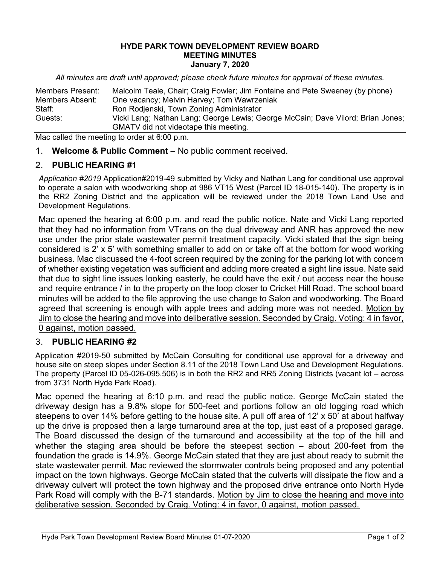## HYDE PARK TOWN DEVELOPMENT REVIEW BOARD MEETING MINUTES January 7, 2020

All minutes are draft until approved; please check future minutes for approval of these minutes.

| <b>Members Present:</b> | Malcolm Teale, Chair; Craig Fowler; Jim Fontaine and Pete Sweeney (by phone)    |
|-------------------------|---------------------------------------------------------------------------------|
| Members Absent:         | One vacancy; Melvin Harvey; Tom Wawrzeniak                                      |
| Staff:                  | Ron Rodjenski, Town Zoning Administrator                                        |
| Guests:                 | Vicki Lang; Nathan Lang; George Lewis; George McCain; Dave Vilord; Brian Jones; |
|                         | GMATV did not videotape this meeting.                                           |

Mac called the meeting to order at 6:00 p.m.

1. Welcome & Public Comment – No public comment received.

## 2. PUBLIC HEARING #1

Application #2019 Application#2019-49 submitted by Vicky and Nathan Lang for conditional use approval to operate a salon with woodworking shop at 986 VT15 West (Parcel ID 18-015-140). The property is in the RR2 Zoning District and the application will be reviewed under the 2018 Town Land Use and Development Regulations.

Mac opened the hearing at 6:00 p.m. and read the public notice. Nate and Vicki Lang reported that they had no information from VTrans on the dual driveway and ANR has approved the new use under the prior state wastewater permit treatment capacity. Vicki stated that the sign being considered is 2' x 5' with something smaller to add on or take off at the bottom for wood working business. Mac discussed the 4-foot screen required by the zoning for the parking lot with concern of whether existing vegetation was sufficient and adding more created a sight line issue. Nate said that due to sight line issues looking easterly, he could have the exit / out access near the house and require entrance / in to the property on the loop closer to Cricket Hill Road. The school board minutes will be added to the file approving the use change to Salon and woodworking. The Board agreed that screening is enough with apple trees and adding more was not needed. Motion by Jim to close the hearing and move into deliberative session. Seconded by Craig. Voting: 4 in favor, 0 against, motion passed.

## 3. PUBLIC HEARING #2

Application #2019-50 submitted by McCain Consulting for conditional use approval for a driveway and house site on steep slopes under Section 8.11 of the 2018 Town Land Use and Development Regulations. The property (Parcel ID 05-026-095.506) is in both the RR2 and RR5 Zoning Districts (vacant lot – across from 3731 North Hyde Park Road).

Mac opened the hearing at 6:10 p.m. and read the public notice. George McCain stated the driveway design has a 9.8% slope for 500-feet and portions follow an old logging road which steepens to over 14% before getting to the house site. A pull off area of 12' x 50' at about halfway up the drive is proposed then a large turnaround area at the top, just east of a proposed garage. The Board discussed the design of the turnaround and accessibility at the top of the hill and whether the staging area should be before the steepest section – about 200-feet from the foundation the grade is 14.9%. George McCain stated that they are just about ready to submit the state wastewater permit. Mac reviewed the stormwater controls being proposed and any potential impact on the town highways. George McCain stated that the culverts will dissipate the flow and a driveway culvert will protect the town highway and the proposed drive entrance onto North Hyde Park Road will comply with the B-71 standards. Motion by Jim to close the hearing and move into deliberative session. Seconded by Craig. Voting: 4 in favor, 0 against, motion passed.